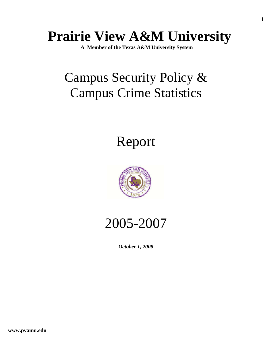

 **A Member of the Texas A&M University System**

# Campus Security Policy & Campus Crime Statistics

## Report





*October 1, 2008*

**www.pvamu.edu**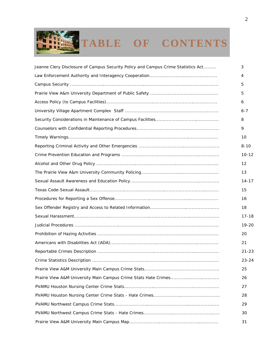# **TABLE OF CONTENTS**

| 4<br>5<br>5<br>6<br>$6 - 7$<br>8<br>9<br>10<br>12<br>13<br>15<br>16<br>18<br>20<br>21<br>25<br>26<br>27<br>28<br>29<br>30<br>31 | Jeanne Clery Disclosure of Campus Security Policy and Campus Crime Statistics Act | 3         |
|---------------------------------------------------------------------------------------------------------------------------------|-----------------------------------------------------------------------------------|-----------|
|                                                                                                                                 |                                                                                   |           |
|                                                                                                                                 |                                                                                   |           |
|                                                                                                                                 |                                                                                   |           |
|                                                                                                                                 |                                                                                   |           |
|                                                                                                                                 |                                                                                   |           |
|                                                                                                                                 |                                                                                   |           |
|                                                                                                                                 |                                                                                   |           |
|                                                                                                                                 |                                                                                   |           |
|                                                                                                                                 |                                                                                   | $8 - 10$  |
|                                                                                                                                 |                                                                                   | $10 - 12$ |
|                                                                                                                                 |                                                                                   |           |
|                                                                                                                                 |                                                                                   |           |
|                                                                                                                                 |                                                                                   | $14 - 17$ |
|                                                                                                                                 |                                                                                   |           |
|                                                                                                                                 |                                                                                   |           |
|                                                                                                                                 |                                                                                   |           |
|                                                                                                                                 |                                                                                   | $17 - 18$ |
|                                                                                                                                 |                                                                                   | 19-20     |
|                                                                                                                                 |                                                                                   |           |
|                                                                                                                                 |                                                                                   |           |
|                                                                                                                                 |                                                                                   | $21 - 23$ |
|                                                                                                                                 |                                                                                   | $23 - 24$ |
|                                                                                                                                 |                                                                                   |           |
|                                                                                                                                 |                                                                                   |           |
|                                                                                                                                 |                                                                                   |           |
|                                                                                                                                 |                                                                                   |           |
|                                                                                                                                 |                                                                                   |           |
|                                                                                                                                 |                                                                                   |           |
|                                                                                                                                 |                                                                                   |           |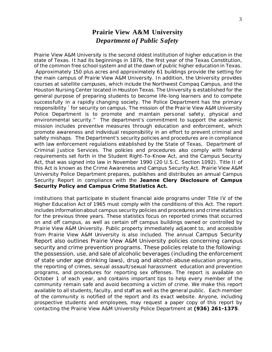#### **Prairie View A&M University** *Department of Public Safety*

Prairie View A&M University is the second oldest institution of higher education in the state of Texas. It had its beginnings in 1876, the first year of the Texas Constitution, of the common free school system and at the dawn of public higher education in Texas. Approximately 150 plus acres and approximately 61 buildings provide the setting for the main campus of Prairie View A&M University. In addition, the University provides courses at satellite campuses, which include the Northwest Compaq Campus, and the Houston Nursing Center located in Houston Texas. The University is established for the general purpose of preparing students to become life-long learners and to compete success fully in a rapidly changing society. The Police Department has the primary responsibility `for security on campus. The mission of the Prairie View A&M University Police Department is to promote and maintain personal safety, physical and environmental security." The department's commitment to support the academic mission includes preventive measures through education and enforcement, which promote awareness and individual responsibility in an effort to prevent criminal and safety mishaps. The Department's security policies and procedures are in compliance with law enforcement regulations established by the State of Texas, Department of Criminal Justice Services. The policies and procedures also comply with federal requirements set forth in the Student Right-To-Know Act, and the Campus Security Act, that was signed into law in November 1990 (20 U.S.C. Section 1092). Title II of this Act is known as the Crime Awareness and Campus Security Act. Prairie View A&M University Police Department prepares, publishes and distributes an annual Campus Security Report in compliance with the **Jeanne Clery Disclosure of Campus Security Policy and Campus Crime Statistics Act.**

Institutions that participate in student financial aide programs under Title IV of the Higher Education Act of 1965 must comply with the conditions of this Act. The report includes informationabout campus security policies and procedures and crime statistics for the previous three years. These statistics focus on reported crimes that occurred on and off campus, as well as certain off campus buildings owned or controlled by Prairie View A&M University. Public property immediately adjacent to, and accessible from Prairie View A&M University is also included. The annual Campus Security Report also outlines Prairie View A&M University policies concerning campus security and crime prevention programs. These policies relate to the following: the possession, use, and sale of alcoholic beverages (including the enforcement of state under age drinking laws), drug and alcohol-abuse education programs, the reporting of crimes, sexual assault/sexual harassment education and prevention programs, and procedures for reporting sex offenses. The report is available on October 1 of each year, and contains important tips to help every member of the community remain safe and avoid becoming a victim of crime. We make this report available to all students, faculty, and staff as well as the general public. Each member of the community is notified of the report and its exact website. Anyone, including prospective students and employees, may request a paper copy of this report by contacting the Prairie View A&M University Police Department at **(936) 261-1375**.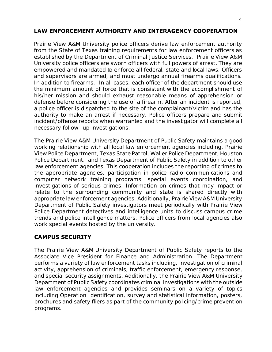#### **LAW ENFORCEMENT AUTHORITY AND INTERAGENCY COOPERATION**

Prairie View A&M University police officers derive law enforcement authority from the State of Texas training requirements for law enforcement officers as established by the Department of Criminal Justice Services. Prairie View A&M University police officers are sworn officers with full powers of arrest. They are empowered and mandated to enforce all federal, state and local laws. Officers and supervisors are armed, and must undergo annual firearms qualifications. In addition to firearms. In all cases, each officer of the department should use the minimum amount of force that is consistent with the accomplishment of his/her mission and should exhaust reasonable means of apprehension or defense before considering the use of a firearm. After an incident is reported, a police officer is dispatched to the site of the complainant/victim and has the authority to make an arrest if necessary. Police officers prepare and submit incident/offense reports when warranted and the investigator will complete all necessary follow -up investigations.

The Prairie View A&M University Department of Public Safety maintains a good working relationship with all local law enforcement agencies including, Prairie View Police Department, Texas State Patrol, Waller Police Department, Houston Police Department, and Texas Department of Public Safety in addition to other law enforcement agencies. This cooperation includes the reporting of crimes to the appropriate agencies, participation in police radio communications and computer network training programs, special events coordination, and investigations of serious crimes. Information on crimes that may impact or relate to the surrounding community and state is shared directly with appropriate law enforcement agencies. Additionally, Prairie View A&M University Department of Public Safety investigators meet periodically with Prairie View Police Department detectives and intelligence units to discuss campus crime trends and police intelligence matters. Police officers from local agencies also work special events hosted by the university.

#### **CAMPUS SECURITY**

The Prairie View A&M University Department of Public Safety reports to the Associate Vice President for Finance and Administration. The Department performs a variety of law enforcement tasks including, investigation of criminal activity, apprehension of criminals, traffic enforcement, emergency response, and special security assignments. Additionally, the Prairie View A&M University Department of Public Safety coordinates criminal investigations with the outside law enforcement agencies and provides seminars on a variety of topics including Operation Identification, survey and statistical information, posters, brochures and safety fliers as part of the community policing/crime prevention programs.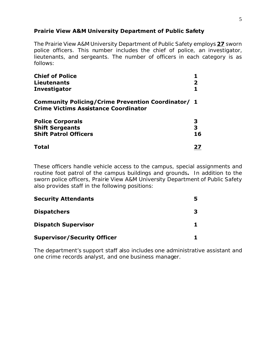#### **Prairie View A&M University Department of Public Safety**

The Prairie View A&M University Department of Public Safety employs **27** sworn police officers. This number includes the chief of police, an investigator, lieutenants, and sergeants. The number of officers in each category is as follows:

| <b>Chief of Police</b>                                    |    |
|-----------------------------------------------------------|----|
| <b>Lieutenants</b>                                        |    |
| <b>Investigator</b>                                       |    |
| <b>Community Policing/Crime Prevention Coordinator/ 1</b> |    |
| <b>Crime Victims Assistance Coordinator</b>               |    |
| <b>Police Corporals</b>                                   |    |
| <b>Shift Sergeants</b>                                    | 3  |
| <b>Shift Patrol Officers</b>                              | 16 |
| <b>Total</b>                                              |    |

These officers handle vehicle access to the campus, special assignments and routine foot patrol of the campus buildings and grounds**.** In addition to the sworn police officers, Prairie View A&M University Department of Public Safety also provides staff in the following positions:

| <b>Security Attendants</b>         | 5 |
|------------------------------------|---|
| <b>Dispatchers</b>                 | 3 |
| <b>Dispatch Supervisor</b>         |   |
| <b>Supervisor/Security Officer</b> |   |

The department's support staff also includes one administrative assistant and one crime records analyst, and one business manager.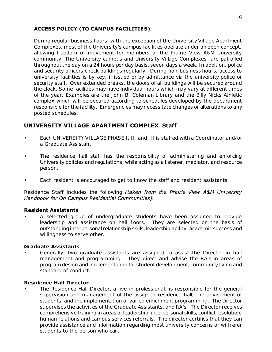#### **ACCESS POLICY (TO CAMPUS FACILITIES)**

During regular business hours, with the exception of the University Village Apartment Complexes, most of the University's campus facilities operate under an open concept, allowing freedom of movement for members of the Prairie View A&M University community. The University campus and University Village Complexes are patrolled throughout the day on a 24 hours per day basis, seven days a week. In addition, police and security officers check buildings regularly. During non-business hours, access to university facilities is by key, if issued or by admittance via the university police or security staff. Over extended breaks, the doors of all buildings will be secured around the clock. Some facilities may have individual hours which may vary at different times of the year. Examples are the John B. Coleman Library and the Billy Nicks Athletic complex which will be secured according to schedules developed by the department responsible for the facility. Emergencies may necessitate changes or alterations to any posted schedules.

#### **UNIVERSITY VILLAGE APARTMENT COMPLEX Staff**

- Each UNIVERSITY VILLAGE PHASE I. II, and III is staffed with a Coordinator and/or a Graduate Assistant.
- The residence hall staff has the responsibility of administering and enforcing University policies and regulations, while acting as a listener, mediator, and resource person.
- Each resident is encouraged to get to know the staff and resident assistants.

Residence Staff includes the following *(taken from the Prairie View A&M University Handbook for On Campus Residential Communities)*:

#### **Resident Assistants**

• A selected group of undergraduate students have been assigned to provide leadership and assistance on hall floors. They are selected on the basis of outstanding interpersonal relationship skills, leadership ability, academic success and willingness to serve other.

#### **Graduate Assistants**

• Generally, two graduate assistants are assigned to assist the Director in hall management and programming. They direct and advise the RA's in areas of program design and implementation for student development, community living and standard of conduct.

#### **Residence Hall Director**

• The Residence Hall Director, a live-in professional, is responsible for the general supervision and management of the assigned residence hall, the advisement of students, and the implementation of varied enrichment programming. The Director supervises the activities of the Graduate Assistants, and RA's. The Director receives comprehensive training in areas of leadership, interpersonal skills, conflict resolution, human relations and campus services referrals. The director certifies that they can provide assistance and information regarding most university concerns or will refer students to the person who can.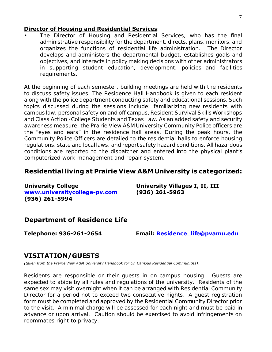#### **Director of Housing and Residential Services**:

The Director of Housing and Residential Services, who has the final administrative responsibility for the department, directs, plans, monitors, and organizes the functions of residential life administration. The Director develops and administers the departmental budget, establishes goals and objectives, and interacts in policy making decisions with other administrators in supporting student education, development, policies and facilities requirements.

At the beginning of each semester, building meetings are held with the residents to discuss safety issues. The Residence Hall Handbook is given to each resident along with the police department conducting safety and educational sessions. Such topics discussed during the sessions include: familiarizing new residents with campus law, personal safety on and off campus, Resident Survival Skills Workshops and Class Action -College Students and Texas Law. As an added safety and security awareness measure, the Prairie View A&M University Community Police officers are the "eyes and ears" in the residence hall areas. During the peak hours, the Community Police Officers are detailed to the residential halls to enforce housing regulations, state and local laws, and report safety hazard conditions. All hazardous conditions are reported to the dispatcher and entered into the physical plant's computerized work management and repair system.

#### **Residential living at Prairie View A&M University is categorized:**

**University College University Villages I, II, III www.universitycollege-pv.com (936) 261-5963 (936) 261-5994**

#### **Department of Residence Life**

**Telephone: 936-261-2654 Email: Residence\_life@pvamu.edu**

#### **VISITATION/GUESTS**

*(taken from the Prairie View A&M University Handbook for On Campus Residential Communities)*:

Residents are responsible or their guests in on campus housing. Guests are expected to abide by all rules and regulations of the university. Residents of the same sex may visit overnight when it can be arranged with Residential Community Director for a period not to exceed two consecutive nights. A guest registration form must be completed and approved by the Residential Community Director prior to the visit. A minimal charge will be assessed for each night and must be paid in advance or upon arrival. Caution should be exercised to avoid infringements on roommates right to privacy.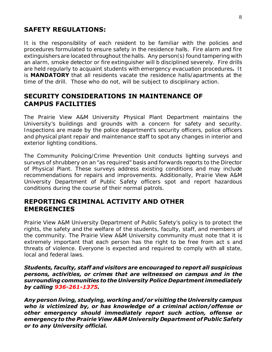#### **SAFETY REGULATIONS:**

It is the responsibility of each resident to be familiar with the policies and procedures formulated to ensure safety in the residence halls. Fire alarm and fire extinguishers are located throughout the halls. Any person(s) found tampering with an alarm, smoke detector or fire extinguisher will b disciplined severely. Fire drills are held regularly to acquaint students with emergency evacuation procedures**.** It is **MANDATORY** that all residents vacate the residence halls/apartments at the time of the drill. Those who do not, will be subject to disciplinary action.

#### **SECURITY CONSIDERATIONS IN MAINTENANCE OF CAMPUS FACILITIES**

The Prairie View A&M University Physical Plant Department maintains the University's buildings and grounds with a concern for safety and security. Inspections are made by the police department's security officers, police officers and physical plant repair and maintenance staff to spot any changes in interior and exterior lighting conditions.

The Community Policing/Crime Prevention Unit conducts lighting surveys and surveys of shrubbery on an "as required" basis and forwards reports to the Director of Physical Plant. These surveys address existing conditions and may include recommendations for repairs and improvements. Additionally, Prairie View A&M University Department of Public Safety officers spot and report hazardous conditions during the course of their normal patrols.

#### **REPORTING CRIMINAL ACTIVITY AND OTHER EMERGENCIES**

Prairie View A&M University Department of Public Safety's policy is to protect the rights, the safety and the welfare of the students, faculty, staff, and members of the community. The Prairie View A&M University community must note that it is extremely important that each person has the right to be free from act s and threats of violence. Everyone is expected and required to comply with all state, local and federal laws.

*Students, faculty, staff and visitors are encouraged to report all suspicious persons, activities, or crimes that are witnessed on campus and in the surrounding communities to the University Police Department immediately by calling 936-261-1375.*

*Any person living, studying, working and/or visiting the University campus who is victimized by, or has knowledge of a criminal action/offense or other emergency should immediately report such action, offense or emergency to the Prairie View A&M University Department of Public Safety or to any University official.*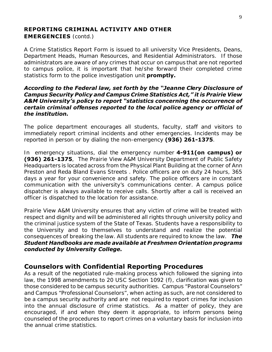#### **REPORTING CRIMINAL ACTIVITY AND OTHER EMERGENCIES** (contd.)

A Crime Statistics Report Form is issued to all university Vice Presidents, Deans, Department Heads, Human Resources, and Residential Administrators. If those administrators are aware of any crimes that occur on campus that are not reported to campus police, it is important that he/she forward their completed crime statistics form to the police investigation unit **promptly.**

#### *According to the Federal law, set forth by the "Jeanne Clery Disclosure of Campus Security Policy and Campus Crime Statistics Act," it is Prairie View A&M University's policy to report "statistics concerning the occurrence of certain criminal offenses reported to the local police agency or official of the institution.*

The police department encourages all students, faculty, staff and visitors to immediately report criminal incidents and other emergencies. Incidents may be reported in person or by dialing the non-emergency **(936) 261-1375**.

In emergency situations, dial the emergency number **4-911(on campus) or (936) 261-1375**, The Prairie View A&M University Department of Public Safety Headquarters is located across from the Physical Plant Building at the corner of Ann Preston and Reda Bland Evans Streets . Police officers are on duty 24 hours, 365 days a year for your convenience and safety. The police officers are in constant communication with the university's communications center. A campus police dispatcher is always available to receive calls. Shortly after a call is received an officer is dispatched to the location for assistance.

Prairie View A&M University ensures that any victim of crime will be treated with respect and dignity and will be administered all rights through university policy and the criminal justice system of the State of Texas. Students have a responsibility to the University and to themselves to understand and realize the potential consequences of breaking the law. All students are required to know the law. *The Student Handbooks are made available at Freshmen Orientation programs conducted by University College.* 

#### **Counselors with Confidential Reporting Procedures**

As a result of the negotiated rule-making process which followed the signing into law, the 1998 amendments to 20 USC Section 1092 (f), clarification was given to those considered to be campus security authorities. Campus "Pastoral Counselors" and Campus "Professional Counselors", when acting as such, are not considered to be a campus security authority and are not required to report crimes for inclusion into the annual disclosure of crime statistics. As a matter of policy, they are encouraged, if and when they deem it appropriate, to inform persons being counseled of the procedures to report crimes on a voluntary basis for inclusion into the annual crime statistics.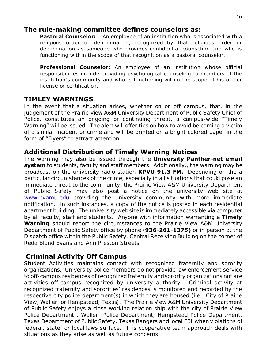#### **The rule-making committee defines counselors as:**

**Pastoral Counselor:** An employee of an institution who is associated with a religious order or denomination, recognized by that religious order or denomination as someone who provides confidential counseling and who is functioning within the scope of that recognition as a pastoral counselor.

**Professional Counselor:** An employee of an institution whose official responsibilities include providing psychological counseling to members of the institution's community and who is functioning within the scope of his or her license or certification.

#### **TIMLEY WARNINGS**

In the event that a situation arises, whether on or off campus, that, in the judgement of the Prairie View A&M University Department of Public Safety Chief of Police, constitutes an ongoing or continuing threat, a campus-wide "Timely Warning" will be issued. The alert will offer tips on how to avoid be coming a victim of a similar incident or crime and will be printed on a bright colored paper in the form of "Flyers" to attract attention.

#### **Additional Distribution of Timely Warning Notices**

The warning may also be issued through the **University Panther-net email system** to students, faculty and staff members. Additionally,, the warning may be broadcast on the university radio station **KPVU 91.3 FM.** Depending on the a particular circumstances of the crime, especially in all situations that could pose an immediate threat to the community, the Prairie View A&M University Department of Public Safety may also post a notice on the university web site at www.pvamu.edu providing the university community with more immediate notification. In such instances, a copy of the notice is posted in each residential apartment building. The university web site is immediately accessible via computer by all faculty, staff and students. Anyone with information warranting a **Timely Warning** should report the circumstances to the Prairie View A&M University Department of Public Safety office by phone (**936-261-1375)** or in person at the Dispatch office within the Public Safety, Central Receiving Building on the corner of Reda Bland Evans and Ann Preston Streets.

#### **Criminal Activity Off Campus**

Student Activities maintains contact with recognized fraternity and sorority organizations. University police members do not provide law enforcement service to off-campus residences of recognized fraternity and sorority organizations not are activities off-campus recognized by university authority. Criminal activity at recognized fraternity and sororities' residences is monitored and recorded by the respective city police department(s) in which they are housed (i.e., City of Prairie View, Waller, or Hempstead, Texas). The Prairie View A&M University Department of Public Safety enjoys a close working relation ship with the city of Prairie View Police Department , Waller Police Department, Hempstead Police Department, Texas Department of Public Safety, Texas Rangers and local FBI when violations of federal, state, or local laws surface. This cooperative team approach deals with situations as they arise as well as future concerns.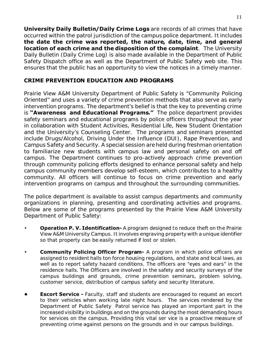**University Daily Bulletin/Daily Crime Logs** are records of all crimes that have occurred within the patrol jurisdiction of the campus police department. It includes **the date the crime was reported, the nature, date, time, and general location of each crime and the disposition of the complaint**. The University Daily Bulletin (Daily Crime Log) is also made available in the Department of Public Safety Dispatch office as well as the Department of Public Safety web site. This ensures that the public has an opportunity to view the notices in a timely manner.

#### **CRIME PREVENTION EDUCATION AND PROGRAMS**

Prairie View A&M University Department of Public Safety is "Community Policing Oriented" and uses a variety of crime prevention methods that also serve as early intervention programs. The department's belief is that the key to preventing crime is **"Awareness and Educational Programs."** The police department provides safety seminars and educational programs by police officers throughout the year in collaboration with Student Activities, Residential Life, New Student Orientation and the University's Counseling Center. The programs and seminars presented include Drugs/Alcohol, Driving Under the Influence (DUI), Rape Prevention, and Campus Safety and Security. A special session are held during freshman orientation to familiarize new students with campus law and personal safety on and off campus. The Department continues to pro-actively approach crime prevention through community policing efforts designed to enhance personal safety and help campus community members develop self-esteem, which contributes to a healthy community. All officers will continue to focus on crime prevention and early intervention programs on campus and throughout the surrounding communities.

The police department is available to assist campus departments and community organizations in planning, presenting and coordinating activities and programs. Below are some of the programs presented by the Prairie View A&M University Department of Public Safety:

- **Operation P. V. Identification-** A program designed to reduce theft on the Prairie View A&M University Campus. It involves engraving property with a unique identifier so that property can be easily returned if lost or stolen.
- **Community Policing Officer Program-** A program in which police officers are assigned to resident halls ton force housing regulations, and state and local laws, as well as to report safety hazard conditions. The officers are "eyes and ears" in the residence halls. The Officers are involved in the safety and security surveys of the campus buildings and grounds, crime prevention seminars, problem solving, customer service, distribution of campus safety and security literature.
- **Escort Service -** Faculty, staff and students are encouraged to request an escort to their vehicles when working late night hours. The services rendered by the Department of Public Safety Patrol service has played an important part in the increased visibility in buildings and on the grounds during the most demanding hours for services on the campus. Providing this vital ser vice is a proactive measure of preventing crime against persons on the grounds and in our campus buildings.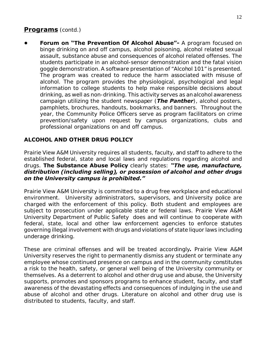#### **Programs** (contd.)

**• Forum on "The Prevention Of Alcohol Abuse"-** A program focused on binge drinking on and off campus, alcohol poisoning, alcohol related sexual assault, substance abuse and consequences of alcohol related offenses. The students participate in an alcohol-sensor demonstration and the fatal vision goggle demonstration. A software presentation of "Alcohol 101" is presented. The program was created to reduce the harm associated with misuse of alcohol. The program provides the physiological, psychological and legal information to college students to help make responsible decisions about drinking, as well as non-drinking. This activity serves as an alcohol awareness campaign utilizing the student newspaper (*The Panther*), alcohol posters, pamphlets, brochures, handouts, bookmarks, and banners. Throughout the year, the Community Police Officers serve as program facilitators on crime prevention/safety upon request by campus organizations, clubs and professional organizations on and off campus.

#### **ALCOHOL AND OTHER DRUG POLICY**

Prairie View A&M University requires all students, faculty, and staff to adhere to the established federal, state and local laws and regulations regarding alcohol and drugs. **The Substance Abuse Policy** clearly states: *"The use, manufacture, distribution (including selling), or possession of alcohol and other drugs on the University campus is prohibited."*

Prairie View A&M University is committed to a drug free workplace and educational environment. University administrators, supervisors, and University police are charged with the enforcement of this policy. Both student and employees are subject to prosecution under applicable state or federal laws. Prairie View A&M University Department of Public Safety does and will continue to cooperate with federal, state, local and other law enforcement agencies to enforce statutes governing illegal involvement with drugs and violations of state liquor laws including underage drinking.

These are criminal offenses and will be treated accordingly*.* Prairie View A&M University reserves the right to permanently dismiss any student or terminate any employee whose continued presence on campus and in the community constitutes a risk to the health, safety, or general well being of the University community or themselves. As a deterrent to alcohol and other drug use and abuse, the University supports, promotes and sponsors programs to enhance student, faculty, and staff awareness of the devastating effects and consequences of indulging in the use and abuse of alcohol and other drugs. Literature on alcohol and other drug use is distributed to students, faculty, and staff.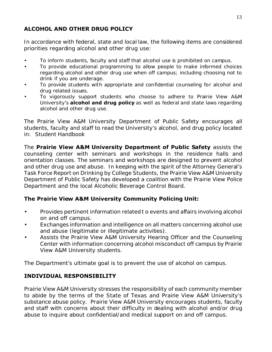#### **ALCOHOL AND OTHER DRUG POLICY**

In accordance with federal, state and local law, the following items are considered priorities regarding alcohol and other drug use:

- To inform students, faculty and staff that alcohol use is prohibited on campus.
- To provide educational programming to allow people to make informed choices regarding alcohol and other drug use when off campus; including choosing not to drink if you are underage.
- To provide students with appropriate and confidential counseling for alcohol and drug related issues.
- To vigorously support students who choose to adhere to Prairie View A&M University's **alcohol and drug policy** as well as federal and state laws regarding alcohol and other drug use.

The Prairie View A&M University Department of Public Safety encourages all students, faculty and staff to read the University's alcohol, and drug policy located in: Student Handbook

The **Prairie View A&M University Department of Public Safety** assists the counseling center with seminars and workshops in the residence halls and orientation classes. The seminars and workshops are designed to prevent alcohol and other drug use and abuse. In keeping with the spirit of the Attorney General's Task Force Report on Drinking by College Students, the Prairie View A&M University Department of Public Safety has developed a coalition with the Prairie View Police Department and the local Alcoholic Beverage Control Board.

#### **The Prairie View A&M University Community Policing Unit:**

- Provides pertinent information related to events and affairs involving alcohol on and off campus.
- Exchanges information and intelligence on all matters concerning alcohol use and abuse (legitimate or illegitimate activities).
- Assists the Prairie View A&M University Hearing Officer and the Counseling Center with information concerning alcohol misconduct off campus by Prairie View A&M University students.

The Department's ultimate goal is to prevent the use of alcohol on campus.

#### **INDIVIDUAL RESPONSIBILITY**

Prairie View A&M University stresses the responsibility of each community member to abide by the terms of the State of Texas and Prairie View A&M University's substance abuse policy. Prairie View A&M University encourages students, faculty and staff with concerns about their difficulty in dealing with alcohol and/or drug abuse to inquire about confidential/and medical support on and off campus.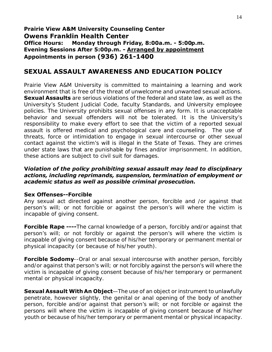#### **Prairie View A&M University Counseling Center Owens Franklin Health Center Office Hours: Monday through Friday, 8:00a.m. - 5:00p.m. Evening Sessions After 5:00p.m. - Arranged by appointment Appointments in person (936) 261-1400**

#### **SEXUAL ASSAULT AWARENESS AND EDUCATION POLICY**

Prairie View A&M University is committed to maintaining a learning and work environment that is free of the threat of unwelcome and unwanted sexual actions. **Sexual Assaults** are serious violations of the federal and state law, as well as the University's Student Judicial Code, faculty Standards, and University employee policies. The University prohibits sexual offenses in any form. It is unacceptable behavior and sexual offenders will not be tolerated. It is the University's responsibility to make every effort to see that the victim of a reported sexual assault is offered medical and psychological care and counseling. The use of threats, force or intimidation to engage in sexual intercourse or other sexual contact against the victim's will is illegal in the State of Texas. They are crimes under state laws that are punishable by fines and/or imprisonment. In addition, these actions are subject to civil suit for damages.

#### **V***iolation of the policy prohibiting sexual assault may lead to disciplinary actions, including reprimands, suspension, termination of employment or academic status as well as possible criminal prosecution.*

#### **Sex Offenses--Forcible**

Any sexual act directed against another person, forcible and /or against that person's will; or not forcible or against the person's will where the victim is incapable of giving consent.

**Forcible Rape ----**The carnal knowledge of a person, forcibly and/or against that person's will; or not forcibly or against the person's will where the victim is incapable of giving consent because of his/her temporary or permanent mental or physical incapacity (or because of his/her youth).

**Forcible Sodomy**--Oral or anal sexual intercourse with another person, forcibly and/or against that person's will; or not forcibly against the person's will where the victim is incapable of giving consent because of his/her temporary or permanent mental or physical incapacity.

**Sexual Assault With An Object**—The use of an object or instrument to unlawfully penetrate, however slightly, the genital or anal opening of the body of another person, forcible and/or against that person's will; or not forcible or against the persons will where the victim is incapable of giving consent because of his/her youth or because of his/her temporary or permanent mental or physical incapacity.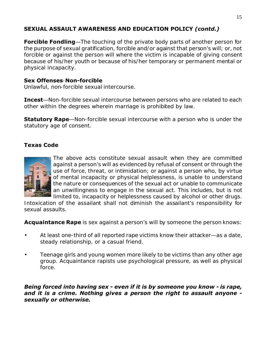#### **SEXUAL ASSAULT AWARENESS AND EDUCATION POLICY** *(contd.)*

**Forcible Fondling**—The touching of the private body parts of another person for the purpose of sexual gratification, forcible and/or against that person's will; or, not forcible or against the person will where the victim is incapable of giving consent because of his/her youth or because of his/her temporary or permanent mental or physical incapacity.

#### **Sex Offenses**-**Non-forcible**

Unlawful, non-forcible sexual intercourse.

**Incest**—Non-forcible sexual intercourse between persons who are related to each other within the degrees wherein marriage is prohibited by law.

**Statutory Rape**—Non-forcible sexual intercourse with a person who is under the statutory age of consent.

#### **Texas Code**



The above acts constitute sexual assault when they are committed against a person's will as evidenced by refusal of consent or through the use of force, threat, or intimidation; or against a person who, by virtue of mental incapacity or physical helplessness, is unable to understand the nature or consequences of the sexual act or unable to communicate an unwillingness to engage in the sexual act. This includes, but is not limited to, incapacity or helplessness caused by alcohol or other drugs.

Intoxication of the assailant shall not diminish the assailant's responsibility for sexual assaults.

**Acquaintance Rape** is sex against a person's will by someone the person knows:

- At least one-third of all reported rape victims know their attacker—as a date, steady relationship, or a casual friend.
- Teenage girls and young women more likely to be victims than any other age group. Acquaintance rapists use psychological pressure, as well as physical force.

#### *Being forced into having sex - even if it is by someone you know - is rape, and it is a crime. Nothing gives a person the right to assault anyone sexually or otherwise.*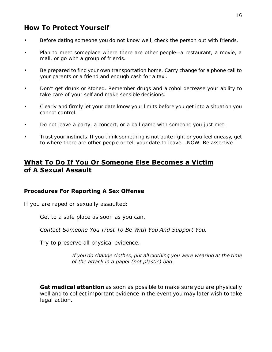#### **How To Protect Yourself**

- Before dating someone you do not know well, check the person out with friends.
- Plan to meet someplace where there are other people--a restaurant, a movie, a mall, or go with a group of friends.
- Be prepared to find your own transportation home. Carry change for a phone call to your parents or a friend and enough cash for a taxi.
- Don't get drunk or stoned. Remember drugs and alcohol decrease your ability to take care of your self and make sensible decisions.
- Clearly and firmly let your date know your limits before you get into a situation you cannot control.
- Do not leave a party, a concert, or a ball game with someone you just met.
- Trust your instincts. If you think something is not quite right or you feel uneasy, get to where there are other people or tell your date to leave - NOW. Be assertive.

#### **What To Do If You Or Someone Else Becomes a Victim of A Sexual Assault**

#### **Procedures For Reporting A Sex Offense**

If you are raped or sexually assaulted:

Get to a safe place as soon as you can.

*Contact Someone You Trust To Be With You And Support You*.

Try to preserve all physical evidence.

*If you do change clothes, put all clothing you were wearing at the time of the attack in a paper (not plastic) bag.*

**Get medical attention** as soon as possible to make sure you are physically well and to collect important evidence in the event you may later wish to take legal action.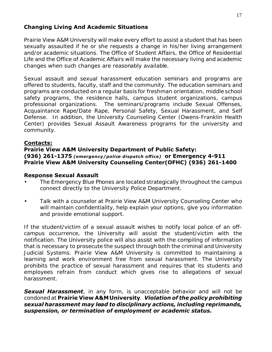#### **Changing Living And Academic Situations**

Prairie View A&M University will make every effort to assist a student that has been sexually assaulted if he or she requests a change in his/her living arrangement and/or academic situations. The Office of Student Affairs, the Office of Residential Life and the Office of Academic Affairs will make the necessary living and academic changes when such changes are reasonably available.

Sexual assault and sexual harassment education seminars and programs are offered to students, faculty, staff and the community. The education seminars and programs are conducted on a regular basis for freshman orientation, middle school safety programs, the residence halls, campus student organizations, campus professional organizations. The seminars/programs include Sexual Offenses, Acquaintance Rape/Date Rape, Personal Safety, Sexual Harassment, and Self Defense. In addition, the University Counseling Center (Owens-Franklin Health Center) provides Sexual Assault Awareness programs for the university and community.

#### **Contacts:**

#### **Prairie View A&M University Department of Public Safety: (936) 261-1375** *(emergency/police dispatch office)* **or Emergency 4-911 Prairie View A&M University Counseling Center(OFHC) (936) 261-1400**

#### **Response Sexual Assault**

- The Emergency Blue Phones are located strategically throughout the campus connect directly to the University Police Department.
- Talk with a counselor at Prairie View A&M University Counseling Center who will maintain confidentiality, help explain your options, give you information and provide emotional support.

If the student/victim of a sexual assault wishes to notify local police of an offcampus occurrence, the University will assist the student/victim with the notification. The University police will also assist with the compiling of information that is necessary to prosecute the suspect through both the criminal and University Judicial Systems. Prairie View A&M University is committed to maintaining a learning and work environment free from sexual harassment. The University prohibits the practice of sexual harassment and requires that its students and employees refrain from conduct which gives rise to allegations of sexual harassment.

**Sexual Harassment**, in any form, is unacceptable behavior and will not be condoned at **Prairie View A&M University**. *Violation of the policy prohibiting sexual harassment may lead to disciplinary actions, including reprimands, suspension, or termination of employment or academic status.*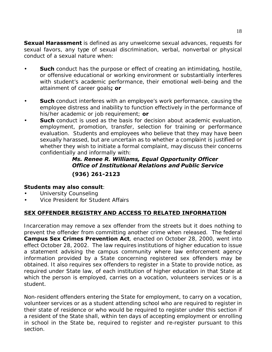**Sexual Harassment** is defined as any unwelcome sexual advances, requests for sexual favors, any type of sexual discrimination, verbal, nonverbal or physical conduct of a sexual nature when:

- **Such** conduct has the purpose or effect of creating an intimidating, hostile, or offensive educational or working environment or substantially interferes with student's academic performance, their emotional well-being and the attainment of career goals**; or**
- **Such** conduct interferes with an employee's work performance, causing the employee distress and inability to function effectively in the performance of his/her academic or job requirement; **or**
- **Such** conduct is used as the basis for decision about academic evaluation, employment, promotion, transfer, selection for training or performance evaluation. Students and employees who believe that they may have been sexually harassed, but are uncertain as to whether a complaint is justified or whether they wish to initiate a formal complaint, may discuss their concerns confidentially and informally with:

#### *Ms. Renee R. Williams, Equal Opportunity Officer Office of Institutional Relations and Public Service* **(936) 261-2123**

#### **Students may also consult**:

- University Counseling
- Vice President for Student Affairs

#### **SEX OFFENDER REGISTRY AND ACCESS TO RELATED INFORMATION**

Incarceration may remove a sex offender from the streets but it does nothing to prevent the offender from committing another crime when released. The federal **Campus Sex Crimes Prevention Act**, enacted on October 28, 2000, went into effect October 28, 2002. The law requires institutions of higher education to issue a statement advising the campus community where law enforcement agency information provided by a State concerning registered sex offenders may be obtained. It also requires sex offenders to register in a State to provide notice, as required under State law, of each institution of higher education in that State at which the person is employed, carries on a vocation, volunteers services or is a student.

Non-resident offenders entering the State for employment, to carry on a vocation, volunteer services or as a student attending school who are required to register in their state of residence or who would be required to register under this section if a resident of the State shall, within ten days of accepting employment or enrolling in school in the State be, required to register and re-register pursuant to this section.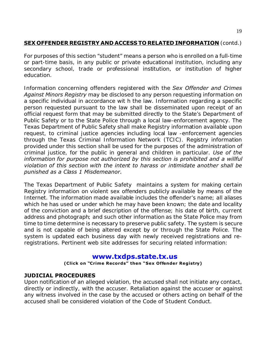#### **SEX OFFENDER REGISTRY AND ACCESS TO RELATED INFORMATION** (contd.)

For purposes of this section "student" means a person who is enrolled on a full-time or part-time basis, in any public or private educational institution, including any secondary school, trade or professional institution, or institution of higher education.

Information concerning offenders registered with the *Sex Offender and Crimes Against Minors Registry* may be disclosed to any person requesting information on a specific individual in accordance wit h the law. Information regarding a specific person requested pursuant to the law shall be disseminated upon receipt of an official request form that may be submitted directly to the State's Department of Public Safety or to the State Police through a local law-enforcement agency. The Texas Department of Public Safety shall make Registry information available upon request, to criminal justice agencies including local law -enforcement agencies through the Texas Criminal Information Network (TCIC). Registry information provided under this section shall be used for the purposes of the administration of criminal justice, for the public in general and children in particular. *Use of the information for purpose not authorized by this section is prohibited and a willful violation of this section with the intent to harass or intimidate another shall be punished as a Class 1 Misdemeanor.*

The Texas Department of Public Safety maintains a system for making certain Registry information on violent sex offenders publicly available by means of the Internet. The information made available includes the offender's name; all aliases which he has used or under which he may have been known; the date and locality of the conviction and a brief description of the offense; his date of birth, current address and photograph; and such other information as the State Police may from time to time determine is necessary to preserve public safety. The system is secure and is not capable of being altered except by or through the State Police. The system is updated each business day with newly received registrations and reregistrations. Pertinent web site addresses for securing related information:

#### **www.txdps.state.tx.us**

**(Click on "Crime Records" then "Sex Offender Registry)**

#### **JUDICIAL PROCEDURES**

Upon notification of an alleged violation, the accused shall not initiate any contact, directly or indirectly, with the accuser. Retaliation against the accuser or against any witness involved in the case by the accused or others acting on behalf of the accused shall be considered violation of the Code of Student Conduct.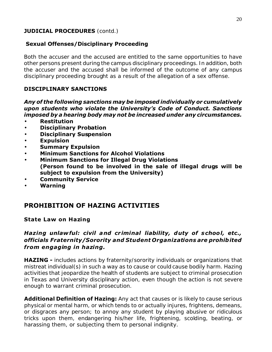#### **JUDICIAL PROCEDURES** (contd.)

#### **Sexual Offenses/Disciplinary Proceeding**

Both the accuser and the accused are entitled to the same opportunities to have other persons present during the campus disciplinary proceedings. In addition, both the accuser and the accused shall be informed of the outcome of any campus disciplinary proceeding brought as a result of the allegation of a sex offense.

#### **DISCIPLINARY SANCTIONS**

*Any of the following sanctions may be imposed individually or cumulatively upon students who violate the University's Code of Conduct. Sanctions imposed by a hearing body may not be increased under any circumstances.*

- **Restitution**
- **Disciplinary Probation**
- **Disciplinary Suspension**
- **Expulsion**
- **Summary Expulsion**
- **Minimum Sanctions for Alcohol Violations**
- **Minimum Sanctions for Illegal Drug Violations (Person found to be involved in the sale of illegal drugs will be subject to expulsion from the University)**
- **Community Service**
- **Warning**

#### **PROHIBITION OF HAZING ACTIVITIES**

#### **State Law on Hazing**

#### *Hazing unlaw ful: civil and cr iminal liability, duty of schoo l, etc., officials Fraternity/Sorority and Student Organizations are prohib ited from engaging in hazing.*

**HAZING -** includes actions by fraternity/sorority individuals or organizations that mistreat individual(s) in such a way as to cause or could cause bodily harm. Hazing activities that jeopardize the health of students are subject to criminal prosecution in Texas and University disciplinary action, even though the action is not severe enough to warrant criminal prosecution.

**Additional Definition of Hazing:** Any act that causes or is likely to cause serious physical or mental harm, or which tends to or actually injures, frightens, demeans, or disgraces any person; to annoy any student by playing abusive or ridiculous tricks upon them, endangering his/her life, frightening, scolding, beating, or harassing them, or subjecting them to personal indignity.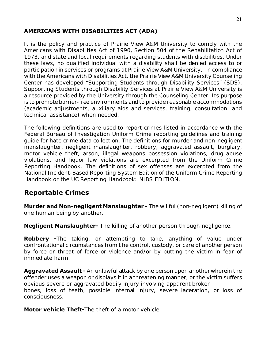#### **AMERICANS WITH DISABILITIES ACT (ADA)**

It is the policy and practice of Prairie View A&M University to comply with the Americans with Disabilities Act of 1990, Section 504 of the Rehabilitation Act of 1973, and state and local requirements regarding students with disabilities. Under these laws, no qualified individual with a disability shall be denied access to or participation in services or programs at Prairie View A&M University. In compliance with the Americans with Disabilities Act, the Prairie View A&M University Counseling Center has developed "Supporting Students through Disability Services" (SDS). Supporting Students through Disability Services at Prairie View A&M University is a resource provided by the University through the Counseling Center. Its purpose is to promote barrier-free environments and to provide reasonable accommodations (academic adjustments, auxiliary aids and services, training, consultation, and technical assistance) when needed.

The following definitions are used to report crimes listed in accordance with the Federal Bureau of Investigation Uniform Crime reporting guidelines and training guide for hate crime data collection. The definitions for murder and non-negligent manslaughter, negligent manslaughter, robbery, aggravated assault, burglary, motor vehicle theft, arson, illegal weapons possession violations, drug abuse violations, and liquor law violations are excerpted from the Uniform Crime Reporting Handbook. The definitions of sex offenses are excerpted from the National Incident-Based Reporting System Edition of the Uniform Crime Reporting Handbook or the UC Reporting Handbook: NIBS EDITION.

#### **Reportable Crimes**

**Murder and Non-negligent Manslaughter -** The willful (non-negligent) killing of one human being by another.

**Negligent Manslaughter-** The killing of another person through negligence.

**Robbery -**The taking, or attempting to take, anything of value under confrontational circumstances from t he control, custody, or care of another person by force or threat of force or violence and/or by putting the victim in fear of immediate harm.

**Aggravated Assault -** An unlawful attack by one person upon another wherein the offender uses a weapon or displays it in a threatening manner, or the victim suffers obvious severe or aggravated bodily injury involving apparent broken bones, loss of teeth, possible internal injury, severe laceration, or loss of consciousness.

**Motor vehicle Theft-**The theft of a motor vehicle.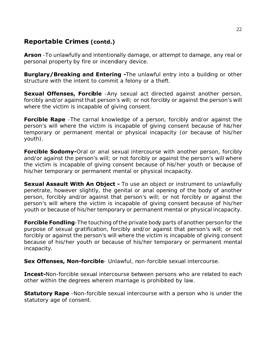#### **Reportable Crimes (contd.)**

**Arson** -To unlawfully and intentionally damage, or attempt to damage, any real or personal property by fire or incendiary device.

**Burglary/Breaking and Entering -**The unlawful entry into a building or other structure with the intent to commit a felony or a theft.

**Sexual Offenses, Forcible** -Any sexual act directed against another person, forcibly and/or against that person's will; or not forcibly or against the person's will where the victim is incapable of giving consent.

**Forcible Rape** -The carnal knowledge of a person, forcibly and/or against the person's will where the victim is incapable of giving consent because of his/her temporary or permanent mental or physical incapacity (or because of his/her youth).

**Forcible Sodomy-**Oral or anal sexual intercourse with another person, forcibly and/or against the person's will; or not forcibly or against the person's will where the victim is incapable of giving consent because of his/her youth or because of his/her temporary or permanent mental or physical incapacity.

**Sexual Assault With An Object -** To use an object or instrument to unlawfully penetrate, however slightly, the genital or anal opening of the body of another person, forcibly and/or against that person's will; or not forcibly or against the person's will where the victim is incapable of giving consent because of his/her youth or because of his/her temporary or permanent mental or physical incapacity.

**Forcible Fondling**-The touching of the private body parts of another person for the purpose of sexual gratification, forcibly and/or against that person's will; or not forcibly or against the person's will where the victim is incapable of giving consent because of his/her youth or because of his/her temporary or permanent mental incapacity.

**Sex Offenses, Non-forcible**- Unlawful, non-forcible sexual intercourse.

**Incest-**Non-forcible sexual intercourse between persons who are related to each other within the degrees wherein marriage is prohibited by law.

**Statutory Rape** -Non-forcible sexual intercourse with a person who is under the statutory age of consent.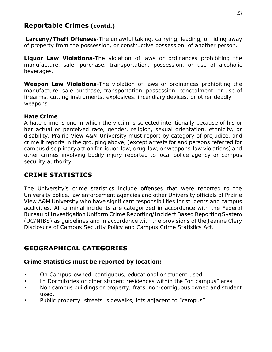#### **Reportable Crimes (contd.)**

 **Larceny/Theft Offenses**-The unlawful taking, carrying, leading, or riding away of property from the possession, or constructive possession, of another person.

**Liquor Law Violations-**The violation of laws or ordinances prohibiting the manufacture, sale, purchase, transportation, possession, or use of alcoholic beverages.

**Weapon Law Violations-**The violation of laws or ordinances prohibiting the manufacture, sale purchase, transportation, possession, concealment, or use of firearms, cutting instruments, explosives, incendiary devices, or other deadly weapons.

#### **Hate Crime**

A hate crime is one in which the victim is selected intentionally because of his or her actual or perceived race, gender, religion, sexual orientation, ethnicity, or disability. Prairie View A&M University must report by category of prejudice, and crime it reports in the grouping above, (except arrests for and persons referred for campus disciplinary action for liquor-law, drug-law, or weapons-law violations) and other crimes involving bodily injury reported to local police agency or campus security authority.

#### **CRIME STATISTICS**

The University's crime statistics include offenses that were reported to the University police, law enforcement agencies and other University officials of Prairie View A&M University who have significant responsibilities for students and campus acclivities. All criminal incidents are categorized in accordance with the Federal Bureau of Investigation Uniform Crime Reporting/Incident Based Reporting System (UC/NIBS) as guidelines and in accordance with the provisions of the Jeanne Clery Disclosure of Campus Security Policy and Campus Crime Statistics Act.

#### **GEOGRAPHICAL CATEGORIES**

#### **Crime Statistics must be reported by location:**

- On Campus-owned, contiguous, educational or student used
- In Dormitories or other student residences within the "on campus" area
- Non campus buildings or property; frats, non-contiguous owned and student used.
- Public property, streets, sidewalks, lots adjacent to "campus"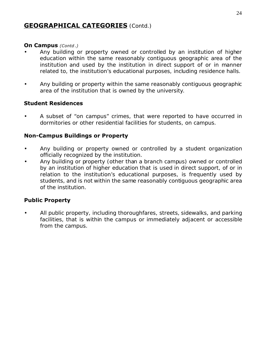#### **GEOGRAPHICAL CATEGORIES** (Contd.)

#### **On Campus** *(Contd .)*

- Any building or property owned or controlled by an institution of higher education within the same reasonably contiguous geographic area of the institution and used by the institution in direct support of or in manner related to, the institution's educational purposes, including residence halls.
- Any building or property within the same reasonably contiguous geographic area of the institution that is owned by the university.

#### **Student Residences**

• A subset of "on campus" crimes, that were reported to have occurred in dormitories or other residential facilities for students, on campus.

#### **Non-Campus Buildings or Property**

- Any building or property owned or controlled by a student organization officially recognized by the institution.
- Any building or property (other than a branch campus) owned or controlled by an institution of higher education that is used in direct support, of or in relation to the institution's educational purposes, is frequently used by students, and is not within the same reasonably contiguous geographic area of the institution.

#### **Public Property**

• All public property, including thoroughfares, streets, sidewalks, and parking facilities, that is within the campus or immediately adjacent or accessible from the campus.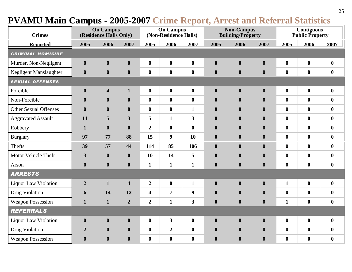| <b>Crimes</b>                 | <b>On Campus</b><br>(Residence Halls Only) |                         |                         |                         | <b>On Campus</b><br>(Non-Residence Halls) |                         |                  | <b>Non-Campus</b><br><b>Building/Property</b> |                  | <b>Contiguous</b><br><b>Public Property</b> |                  |                  |  |  |
|-------------------------------|--------------------------------------------|-------------------------|-------------------------|-------------------------|-------------------------------------------|-------------------------|------------------|-----------------------------------------------|------------------|---------------------------------------------|------------------|------------------|--|--|
| <b>Reported</b>               | 2005                                       | 2006                    | 2007                    | 2005                    | 2006                                      | 2007                    | 2005             | 2006                                          | 2007             | 2005                                        | 2006             | 2007             |  |  |
| <b>CRIMINAL HOMICIDE</b>      |                                            |                         |                         |                         |                                           |                         |                  |                                               |                  |                                             |                  |                  |  |  |
| Murder, Non-Negligent         | $\boldsymbol{0}$                           | $\boldsymbol{0}$        | $\boldsymbol{0}$        | $\boldsymbol{0}$        | $\boldsymbol{0}$                          | $\boldsymbol{0}$        | $\boldsymbol{0}$ | $\boldsymbol{0}$                              | $\boldsymbol{0}$ | $\boldsymbol{0}$                            | $\boldsymbol{0}$ | $\boldsymbol{0}$ |  |  |
| <b>Negligent Manslaughter</b> | $\boldsymbol{0}$                           | $\boldsymbol{0}$        | $\boldsymbol{0}$        | $\boldsymbol{0}$        | $\boldsymbol{0}$                          | $\boldsymbol{0}$        | $\boldsymbol{0}$ | $\boldsymbol{0}$                              | $\boldsymbol{0}$ | $\boldsymbol{0}$                            | $\boldsymbol{0}$ | $\boldsymbol{0}$ |  |  |
| <b>SEXUAL OFFENSES</b>        |                                            |                         |                         |                         |                                           |                         |                  |                                               |                  |                                             |                  |                  |  |  |
| Forcible                      | $\boldsymbol{0}$                           | $\overline{\mathbf{4}}$ | $\mathbf{1}$            | $\bf{0}$                | $\bf{0}$                                  | $\boldsymbol{0}$        | $\mathbf{0}$     | $\bf{0}$                                      | $\boldsymbol{0}$ | $\boldsymbol{0}$                            | $\boldsymbol{0}$ | $\boldsymbol{0}$ |  |  |
| Non-Forcible                  | $\boldsymbol{0}$                           | $\boldsymbol{0}$        | $\boldsymbol{0}$        | $\bf{0}$                | $\bf{0}$                                  | $\boldsymbol{0}$        | $\boldsymbol{0}$ | $\boldsymbol{0}$                              | $\boldsymbol{0}$ | $\boldsymbol{0}$                            | $\boldsymbol{0}$ | $\bf{0}$         |  |  |
| <b>Other Sexual Offenses</b>  | $\boldsymbol{0}$                           | $\boldsymbol{0}$        | $\boldsymbol{0}$        | $\boldsymbol{0}$        | $\boldsymbol{0}$                          | $\mathbf{1}$            | $\boldsymbol{0}$ | $\boldsymbol{0}$                              | $\boldsymbol{0}$ | $\boldsymbol{0}$                            | $\boldsymbol{0}$ | $\boldsymbol{0}$ |  |  |
| <b>Aggravated Assault</b>     | 11                                         | 5                       | $\mathbf{3}$            | 5                       | $\mathbf{1}$                              | $\overline{\mathbf{3}}$ | $\boldsymbol{0}$ | $\boldsymbol{0}$                              | $\boldsymbol{0}$ | $\boldsymbol{0}$                            | $\boldsymbol{0}$ | $\boldsymbol{0}$ |  |  |
| Robbery                       | $\mathbf{1}$                               | $\boldsymbol{0}$        | $\boldsymbol{0}$        | $\overline{2}$          | $\boldsymbol{0}$                          | $\bf{0}$                | $\boldsymbol{0}$ | $\bf{0}$                                      | $\boldsymbol{0}$ | $\boldsymbol{0}$                            | $\bf{0}$         | $\bf{0}$         |  |  |
| <b>Burglary</b>               | 97                                         | 77                      | 88                      | 15                      | 9                                         | 10                      | $\boldsymbol{0}$ | $\mathbf{0}$                                  | $\boldsymbol{0}$ | $\boldsymbol{0}$                            | $\boldsymbol{0}$ | $\boldsymbol{0}$ |  |  |
| Thefts                        | 39                                         | 57                      | 44                      | 114                     | 85                                        | 106                     | $\boldsymbol{0}$ | $\boldsymbol{0}$                              | $\boldsymbol{0}$ | $\boldsymbol{0}$                            | $\bf{0}$         | $\boldsymbol{0}$ |  |  |
| Motor Vehicle Theft           | $\overline{\mathbf{3}}$                    | $\boldsymbol{0}$        | $\boldsymbol{0}$        | 10                      | 14                                        | 5                       | $\mathbf{0}$     | $\mathbf{0}$                                  | $\boldsymbol{0}$ | $\boldsymbol{0}$                            | $\boldsymbol{0}$ | $\boldsymbol{0}$ |  |  |
| Arson                         | $\boldsymbol{0}$                           | $\boldsymbol{0}$        | $\boldsymbol{0}$        | $\mathbf{1}$            | $\mathbf{1}$                              | $\mathbf{1}$            | $\boldsymbol{0}$ | $\boldsymbol{0}$                              | $\boldsymbol{0}$ | $\boldsymbol{0}$                            | $\boldsymbol{0}$ | $\boldsymbol{0}$ |  |  |
| <b>ARRESTS</b>                |                                            |                         |                         |                         |                                           |                         |                  |                                               |                  |                                             |                  |                  |  |  |
| <b>Liquor Law Violation</b>   | $\boldsymbol{2}$                           | $\mathbf{1}$            | $\overline{\mathbf{4}}$ | $\boldsymbol{2}$        | $\boldsymbol{0}$                          | $\mathbf{1}$            | $\boldsymbol{0}$ | $\boldsymbol{0}$                              | $\boldsymbol{0}$ | $\mathbf{1}$                                | $\boldsymbol{0}$ | $\boldsymbol{0}$ |  |  |
| Drug Violation                | 6                                          | 14                      | 12                      | $\overline{\mathbf{4}}$ | $\overline{7}$                            | 9                       | $\boldsymbol{0}$ | $\boldsymbol{0}$                              | $\boldsymbol{0}$ | $\boldsymbol{0}$                            | $\boldsymbol{0}$ | $\bf{0}$         |  |  |
| <b>Weapon Possession</b>      | $\mathbf{1}$                               | $\mathbf{1}$            | $\overline{2}$          | $\overline{2}$          | $\mathbf{1}$                              | $\mathbf{3}$            | $\boldsymbol{0}$ | $\boldsymbol{0}$                              | $\boldsymbol{0}$ | $\mathbf{1}$                                | $\boldsymbol{0}$ | $\boldsymbol{0}$ |  |  |
| <b>REFERRALS</b>              |                                            |                         |                         |                         |                                           |                         |                  |                                               |                  |                                             |                  |                  |  |  |
| <b>Liquor Law Violation</b>   | $\boldsymbol{0}$                           | $\boldsymbol{0}$        | $\boldsymbol{0}$        | $\boldsymbol{0}$        | $\mathbf{3}$                              | $\boldsymbol{0}$        | $\mathbf{0}$     | $\boldsymbol{0}$                              | $\boldsymbol{0}$ | $\boldsymbol{0}$                            | $\boldsymbol{0}$ | $\boldsymbol{0}$ |  |  |
| Drug Violation                | $\overline{2}$                             | $\boldsymbol{0}$        | $\boldsymbol{0}$        | $\boldsymbol{0}$        | $\boldsymbol{2}$                          | $\boldsymbol{0}$        | $\mathbf{0}$     | $\boldsymbol{0}$                              | $\boldsymbol{0}$ | $\boldsymbol{0}$                            | $\boldsymbol{0}$ | $\boldsymbol{0}$ |  |  |
| <b>Weapon Possession</b>      | $\boldsymbol{0}$                           | $\boldsymbol{0}$        | $\boldsymbol{0}$        | $\boldsymbol{0}$        | $\boldsymbol{0}$                          | $\boldsymbol{0}$        | $\boldsymbol{0}$ | $\boldsymbol{0}$                              | $\boldsymbol{0}$ | $\boldsymbol{0}$                            | $\bf{0}$         | $\boldsymbol{0}$ |  |  |

## **PVAMU Main Campus - 2005-2007 Crime Report, Arrest and Referral Statistics**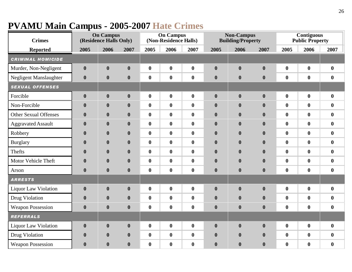## **PVAMU Main Campus - 2005-2007 Hate Crimes**

| <b>Crimes</b>                 | <b>On Campus</b><br>(Residence Halls Only) |                  |                  |                  | <b>On Campus</b><br>(Non-Residence Halls) |                  |                  | <b>Non-Campus</b><br><b>Building/Property</b> |                  |                  | <b>Contiguous</b><br><b>Public Property</b> |                  |  |
|-------------------------------|--------------------------------------------|------------------|------------------|------------------|-------------------------------------------|------------------|------------------|-----------------------------------------------|------------------|------------------|---------------------------------------------|------------------|--|
| <b>Reported</b>               | 2005                                       | 2006             | 2007             | 2005             | 2006                                      | 2007             | 2005             | 2006                                          | 2007             | 2005             | 2006                                        | 2007             |  |
| <b>CRIMINAL HOMICIDE</b>      |                                            |                  |                  |                  |                                           |                  |                  |                                               |                  |                  |                                             |                  |  |
| Murder, Non-Negligent         | $\boldsymbol{0}$                           | $\boldsymbol{0}$ | $\boldsymbol{0}$ | $\boldsymbol{0}$ | $\boldsymbol{0}$                          | $\boldsymbol{0}$ | $\boldsymbol{0}$ | $\boldsymbol{0}$                              | $\boldsymbol{0}$ | $\bf{0}$         | $\boldsymbol{0}$                            | $\boldsymbol{0}$ |  |
| <b>Negligent Manslaughter</b> | $\boldsymbol{0}$                           | $\boldsymbol{0}$ | $\boldsymbol{0}$ | $\boldsymbol{0}$ | $\boldsymbol{0}$                          | $\boldsymbol{0}$ | $\boldsymbol{0}$ | $\boldsymbol{0}$                              | $\boldsymbol{0}$ | $\boldsymbol{0}$ | $\boldsymbol{0}$                            | $\boldsymbol{0}$ |  |
| <b>SEXUAL OFFENSES</b>        |                                            |                  |                  |                  |                                           |                  |                  |                                               |                  |                  |                                             |                  |  |
| Forcible                      | $\boldsymbol{0}$                           | $\boldsymbol{0}$ | $\bf{0}$         | $\boldsymbol{0}$ | $\boldsymbol{0}$                          | $\boldsymbol{0}$ | $\boldsymbol{0}$ | $\boldsymbol{0}$                              | $\boldsymbol{0}$ | $\boldsymbol{0}$ | $\boldsymbol{0}$                            | $\boldsymbol{0}$ |  |
| Non-Forcible                  | $\boldsymbol{0}$                           | $\boldsymbol{0}$ | $\boldsymbol{0}$ | $\bf{0}$         | $\bf{0}$                                  | $\boldsymbol{0}$ | $\boldsymbol{0}$ | $\boldsymbol{0}$                              | $\boldsymbol{0}$ | $\boldsymbol{0}$ | $\boldsymbol{0}$                            | $\bf{0}$         |  |
| <b>Other Sexual Offenses</b>  | $\boldsymbol{0}$                           | $\boldsymbol{0}$ | $\boldsymbol{0}$ | $\boldsymbol{0}$ | $\bf{0}$                                  | $\boldsymbol{0}$ | $\boldsymbol{0}$ | $\boldsymbol{0}$                              | $\boldsymbol{0}$ | $\boldsymbol{0}$ | $\boldsymbol{0}$                            | $\boldsymbol{0}$ |  |
| <b>Aggravated Assault</b>     | $\boldsymbol{0}$                           | $\boldsymbol{0}$ | $\boldsymbol{0}$ | $\boldsymbol{0}$ | $\boldsymbol{0}$                          | $\boldsymbol{0}$ | $\mathbf{0}$     | $\boldsymbol{0}$                              | $\boldsymbol{0}$ | $\boldsymbol{0}$ | $\boldsymbol{0}$                            | $\boldsymbol{0}$ |  |
| Robbery                       | $\boldsymbol{0}$                           | $\boldsymbol{0}$ | $\boldsymbol{0}$ | $\bf{0}$         | $\bf{0}$                                  | $\bf{0}$         | $\boldsymbol{0}$ | $\boldsymbol{0}$                              | $\boldsymbol{0}$ | $\boldsymbol{0}$ | $\bf{0}$                                    | $\bf{0}$         |  |
| <b>Burglary</b>               | $\boldsymbol{0}$                           | $\boldsymbol{0}$ | $\boldsymbol{0}$ | $\bf{0}$         | $\bf{0}$                                  | $\boldsymbol{0}$ | $\boldsymbol{0}$ | $\mathbf{0}$                                  | $\boldsymbol{0}$ | $\boldsymbol{0}$ | $\bf{0}$                                    | $\boldsymbol{0}$ |  |
| Thefts                        | $\boldsymbol{0}$                           | $\boldsymbol{0}$ | $\boldsymbol{0}$ | $\bf{0}$         | $\bf{0}$                                  | $\boldsymbol{0}$ | $\boldsymbol{0}$ | $\boldsymbol{0}$                              | $\boldsymbol{0}$ | $\boldsymbol{0}$ | $\bf{0}$                                    | $\boldsymbol{0}$ |  |
| Motor Vehicle Theft           | $\boldsymbol{0}$                           | $\boldsymbol{0}$ | $\boldsymbol{0}$ | $\boldsymbol{0}$ | $\bf{0}$                                  | $\boldsymbol{0}$ | $\boldsymbol{0}$ | $\mathbf{0}$                                  | $\boldsymbol{0}$ | $\boldsymbol{0}$ | $\boldsymbol{0}$                            | $\boldsymbol{0}$ |  |
| Arson                         | $\boldsymbol{0}$                           | $\boldsymbol{0}$ | $\boldsymbol{0}$ | $\bf{0}$         | $\boldsymbol{0}$                          | $\boldsymbol{0}$ | $\boldsymbol{0}$ | $\boldsymbol{0}$                              | $\boldsymbol{0}$ | $\boldsymbol{0}$ | $\boldsymbol{0}$                            | $\boldsymbol{0}$ |  |
| <b>ARRESTS</b>                |                                            |                  |                  |                  |                                           |                  |                  |                                               |                  |                  |                                             |                  |  |
| <b>Liquor Law Violation</b>   | $\boldsymbol{0}$                           | $\boldsymbol{0}$ | $\boldsymbol{0}$ | $\boldsymbol{0}$ | $\boldsymbol{0}$                          | $\boldsymbol{0}$ | $\boldsymbol{0}$ | $\boldsymbol{0}$                              | $\boldsymbol{0}$ | $\boldsymbol{0}$ | $\boldsymbol{0}$                            | $\boldsymbol{0}$ |  |
| Drug Violation                | $\boldsymbol{0}$                           | $\boldsymbol{0}$ | $\boldsymbol{0}$ | $\bf{0}$         | $\boldsymbol{0}$                          | $\bf{0}$         | $\boldsymbol{0}$ | $\boldsymbol{0}$                              | $\boldsymbol{0}$ | $\boldsymbol{0}$ | $\bf{0}$                                    | $\boldsymbol{0}$ |  |
| <b>Weapon Possession</b>      | $\boldsymbol{0}$                           | $\boldsymbol{0}$ | $\boldsymbol{0}$ | $\boldsymbol{0}$ | $\boldsymbol{0}$                          | $\boldsymbol{0}$ | $\boldsymbol{0}$ | $\boldsymbol{0}$                              | $\boldsymbol{0}$ | $\bf{0}$         | $\bf{0}$                                    | $\bf{0}$         |  |
| <b>REFERRALS</b>              |                                            |                  |                  |                  |                                           |                  |                  |                                               |                  |                  |                                             |                  |  |
| <b>Liquor Law Violation</b>   | $\boldsymbol{0}$                           | $\boldsymbol{0}$ | $\boldsymbol{0}$ | $\boldsymbol{0}$ | $\boldsymbol{0}$                          | $\boldsymbol{0}$ | $\boldsymbol{0}$ | $\boldsymbol{0}$                              | $\boldsymbol{0}$ | $\boldsymbol{0}$ | $\boldsymbol{0}$                            | $\boldsymbol{0}$ |  |
| Drug Violation                | $\boldsymbol{0}$                           | $\boldsymbol{0}$ | $\boldsymbol{0}$ | $\boldsymbol{0}$ | $\bf{0}$                                  | $\boldsymbol{0}$ | $\boldsymbol{0}$ | $\mathbf 0$                                   | $\boldsymbol{0}$ | $\boldsymbol{0}$ | $\bf{0}$                                    | $\bf{0}$         |  |
| <b>Weapon Possession</b>      | $\boldsymbol{0}$                           | $\boldsymbol{0}$ | $\boldsymbol{0}$ | $\boldsymbol{0}$ | $\boldsymbol{0}$                          | $\boldsymbol{0}$ | $\boldsymbol{0}$ | $\boldsymbol{0}$                              | $\boldsymbol{0}$ | $\boldsymbol{0}$ | $\boldsymbol{0}$                            | $\boldsymbol{0}$ |  |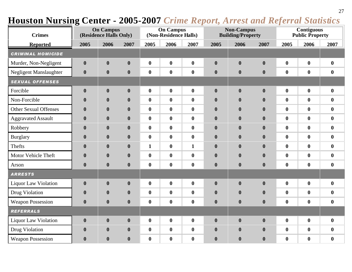#### **Crimes On Campus (Residence Halls Only) On Campus (Non-Residence Halls) Non-Campus Building/Property Contiguous Public Property Reported 2005 2006 2007 2005 2006 2007 2005 2006 2007 2005 2006 2007** *CRIMINAL HOMICIDE* Murder, Non-Negligent **0 0 0 0 0 0 0 0 0 0 0 0** Negligent Manslaughter **0 0 0 0 0 0 0 0 0 0 0 0** *SEXUAL OFFENSES*  Forcible **0 0 0 0 0 0 0 0 0 0 0 0** Non-Forcible | 0 0 0 0 0 0 0 0 0 0 0 Other Sexual Offenses **0 0 0 0 0 0 0 0 0 0 0 0** Aggravated Assault **0 0 0 0 0 0 0 0 0 0 0 0 0 0 0 0 0** Robbery 0 0 0 0 0 0 0 0 0 0 0 Burglary **0 0 0 0 0 0 0 0 0 0 0 0** Thefts **0 0 0 1 0 1 0 0 0 0 0 0** Motor Vehicle Theft **0 0 0 0 0 0 0 0 0 0 0 0** Arson 0 0 0 0 0 0 0 0 0 0 0 0 0 0 *ARRESTS* Liquor Law Violation **0 0 0 0 0 0 0 0 0 0 0 0** Drug Violation **0 0 0 0 0 0 0 0 0 0 0 0** Weapon Possession **0 0 0 0 0 0 0 0 0 0 0 0** *REFERRALS* Liquor Law Violation **0 0 0 0 0 0 0 0 0 0 0 0** Drug Violation **0 0 0 0 0 0 0 0 0 0 0 0** Weapon Possession **0 0 0 0 0 0 0 0 0 0 0 0**

## **Houston Nursing Center - 2005-2007** *Crime Report, Arrest and Referral Statistics*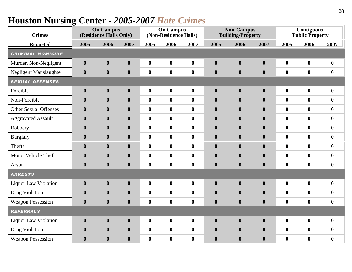## **Houston Nursing Center -** *2005-2007 Hate Crimes*

| <b>Crimes</b>                 | <b>On Campus</b><br>(Residence Halls Only) |                  |                  |                  | <b>On Campus</b><br>(Non-Residence Halls) |                  |                  | <b>Non-Campus</b><br><b>Building/Property</b> |                  | <b>Contiguous</b><br><b>Public Property</b> |                  |                  |
|-------------------------------|--------------------------------------------|------------------|------------------|------------------|-------------------------------------------|------------------|------------------|-----------------------------------------------|------------------|---------------------------------------------|------------------|------------------|
| <b>Reported</b>               | 2005                                       | 2006             | 2007             | 2005             | 2006                                      | 2007             | 2005             | 2006                                          | 2007             | 2005                                        | 2006             | 2007             |
| <b>CRIMINAL HOMICIDE</b>      |                                            |                  |                  |                  |                                           |                  |                  |                                               |                  |                                             |                  |                  |
| Murder, Non-Negligent         | $\boldsymbol{0}$                           | $\boldsymbol{0}$ | $\boldsymbol{0}$ | $\bf{0}$         | $\boldsymbol{0}$                          | $\boldsymbol{0}$ | $\boldsymbol{0}$ | $\boldsymbol{0}$                              | $\boldsymbol{0}$ | $\boldsymbol{0}$                            | $\boldsymbol{0}$ | $\boldsymbol{0}$ |
| <b>Negligent Manslaughter</b> | $\boldsymbol{0}$                           | $\boldsymbol{0}$ | $\boldsymbol{0}$ | $\boldsymbol{0}$ | $\boldsymbol{0}$                          | $\boldsymbol{0}$ | $\boldsymbol{0}$ | $\boldsymbol{0}$                              | $\boldsymbol{0}$ | $\bf{0}$                                    | $\boldsymbol{0}$ | $\boldsymbol{0}$ |
| <b>SEXUAL OFFENSES</b>        |                                            |                  |                  |                  |                                           |                  |                  |                                               |                  |                                             |                  |                  |
| Forcible                      | $\boldsymbol{0}$                           | $\boldsymbol{0}$ | $\boldsymbol{0}$ | $\bf{0}$         | $\bf{0}$                                  | $\boldsymbol{0}$ | $\boldsymbol{0}$ | $\boldsymbol{0}$                              | $\boldsymbol{0}$ | $\bf{0}$                                    | $\boldsymbol{0}$ | $\boldsymbol{0}$ |
| Non-Forcible                  | $\boldsymbol{0}$                           | $\boldsymbol{0}$ | $\boldsymbol{0}$ | $\bf{0}$         | $\boldsymbol{0}$                          | $\bf{0}$         | $\boldsymbol{0}$ | $\boldsymbol{0}$                              | $\boldsymbol{0}$ | $\boldsymbol{0}$                            | $\bf{0}$         | $\boldsymbol{0}$ |
| <b>Other Sexual Offenses</b>  | $\boldsymbol{0}$                           | $\bf{0}$         | $\boldsymbol{0}$ | $\boldsymbol{0}$ | $\bf{0}$                                  | $\boldsymbol{0}$ | $\boldsymbol{0}$ | $\boldsymbol{0}$                              | $\boldsymbol{0}$ | $\boldsymbol{0}$                            | $\bf{0}$         | $\boldsymbol{0}$ |
| <b>Aggravated Assault</b>     | $\boldsymbol{0}$                           | $\boldsymbol{0}$ | $\boldsymbol{0}$ | $\bf{0}$         | $\boldsymbol{0}$                          | $\bf{0}$         | $\boldsymbol{0}$ | $\mathbf{0}$                                  | $\boldsymbol{0}$ | $\boldsymbol{0}$                            | $\bf{0}$         | $\boldsymbol{0}$ |
| Robbery                       | $\boldsymbol{0}$                           | $\boldsymbol{0}$ | $\boldsymbol{0}$ | $\bf{0}$         | $\bf{0}$                                  | $\boldsymbol{0}$ | $\boldsymbol{0}$ | $\boldsymbol{0}$                              | $\boldsymbol{0}$ | $\boldsymbol{0}$                            | $\bf{0}$         | $\boldsymbol{0}$ |
| <b>Burglary</b>               | $\boldsymbol{0}$                           | $\mathbf{0}$     | $\boldsymbol{0}$ | $\bf{0}$         | $\bf{0}$                                  | $\bf{0}$         | $\mathbf{0}$     | $\mathbf{0}$                                  | $\boldsymbol{0}$ | $\boldsymbol{0}$                            | $\bf{0}$         | $\bf{0}$         |
| Thefts                        | $\boldsymbol{0}$                           | $\boldsymbol{0}$ | $\boldsymbol{0}$ | $\bf{0}$         | $\bf{0}$                                  | $\bf{0}$         | $\boldsymbol{0}$ | $\boldsymbol{0}$                              | $\boldsymbol{0}$ | $\boldsymbol{0}$                            | $\bf{0}$         | $\boldsymbol{0}$ |
| Motor Vehicle Theft           | $\boldsymbol{0}$                           | $\boldsymbol{0}$ | $\boldsymbol{0}$ | $\boldsymbol{0}$ | $\bf{0}$                                  | $\bf{0}$         | $\boldsymbol{0}$ | $\bf{0}$                                      | $\boldsymbol{0}$ | $\bf{0}$                                    | $\bf{0}$         | $\boldsymbol{0}$ |
| Arson                         | $\boldsymbol{0}$                           | $\boldsymbol{0}$ | $\boldsymbol{0}$ | $\boldsymbol{0}$ | $\boldsymbol{0}$                          | $\boldsymbol{0}$ | $\boldsymbol{0}$ | $\boldsymbol{0}$                              | $\boldsymbol{0}$ | $\boldsymbol{0}$                            | $\boldsymbol{0}$ | $\boldsymbol{0}$ |
| <b>ARRESTS</b>                |                                            |                  |                  |                  |                                           |                  |                  |                                               |                  |                                             |                  |                  |
| Liquor Law Violation          | $\boldsymbol{0}$                           | $\boldsymbol{0}$ | $\boldsymbol{0}$ | $\bf{0}$         | $\boldsymbol{0}$                          | $\boldsymbol{0}$ | $\boldsymbol{0}$ | $\boldsymbol{0}$                              | $\boldsymbol{0}$ | $\boldsymbol{0}$                            | $\boldsymbol{0}$ | $\boldsymbol{0}$ |
| Drug Violation                | $\boldsymbol{0}$                           | $\boldsymbol{0}$ | $\boldsymbol{0}$ | $\bf{0}$         | $\boldsymbol{0}$                          | $\boldsymbol{0}$ | $\boldsymbol{0}$ | $\boldsymbol{0}$                              | $\boldsymbol{0}$ | $\boldsymbol{0}$                            | $\bf{0}$         | $\boldsymbol{0}$ |
| <b>Weapon Possession</b>      | $\boldsymbol{0}$                           | $\boldsymbol{0}$ | $\boldsymbol{0}$ | $\bf{0}$         | $\bf{0}$                                  | $\boldsymbol{0}$ | $\boldsymbol{0}$ | $\boldsymbol{0}$                              | $\boldsymbol{0}$ | $\boldsymbol{0}$                            | $\boldsymbol{0}$ | $\boldsymbol{0}$ |
| <b>REFERRALS</b>              |                                            |                  |                  |                  |                                           |                  |                  |                                               |                  |                                             |                  |                  |
| <b>Liquor Law Violation</b>   | $\boldsymbol{0}$                           | $\mathbf{0}$     | $\boldsymbol{0}$ | $\boldsymbol{0}$ | $\boldsymbol{0}$                          | $\boldsymbol{0}$ | $\boldsymbol{0}$ | $\boldsymbol{0}$                              | $\boldsymbol{0}$ | $\boldsymbol{0}$                            | $\boldsymbol{0}$ | $\boldsymbol{0}$ |
| Drug Violation                | $\boldsymbol{0}$                           | $\boldsymbol{0}$ | $\boldsymbol{0}$ | $\bf{0}$         | $\boldsymbol{0}$                          | $\boldsymbol{0}$ | $\boldsymbol{0}$ | $\boldsymbol{0}$                              | $\boldsymbol{0}$ | $\boldsymbol{0}$                            | $\bf{0}$         | $\boldsymbol{0}$ |
| <b>Weapon Possession</b>      | $\boldsymbol{0}$                           | $\boldsymbol{0}$ | $\boldsymbol{0}$ | $\boldsymbol{0}$ | $\boldsymbol{0}$                          | $\boldsymbol{0}$ | $\boldsymbol{0}$ | $\boldsymbol{0}$                              | $\boldsymbol{0}$ | $\boldsymbol{0}$                            | $\boldsymbol{0}$ | $\boldsymbol{0}$ |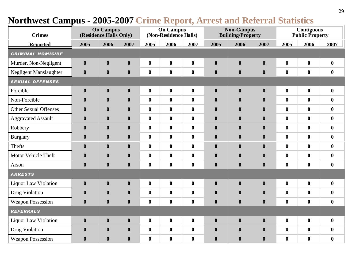| <b>Crimes</b>                 | <b>On Campus</b><br>(Residence Halls Only) |                  |                  |                  | <b>On Campus</b><br>(Non-Residence Halls) |                  |                  | <b>Non-Campus</b><br><b>Building/Property</b> |                  | Contiguous<br><b>Public Property</b> |                  |                  |  |  |
|-------------------------------|--------------------------------------------|------------------|------------------|------------------|-------------------------------------------|------------------|------------------|-----------------------------------------------|------------------|--------------------------------------|------------------|------------------|--|--|
| <b>Reported</b>               | 2005                                       | 2006             | 2007             | 2005             | 2006                                      | 2007             | 2005             | 2006                                          | 2007             | 2005                                 | 2006             | 2007             |  |  |
| <b>CRIMINAL HOMICIDE</b>      |                                            |                  |                  |                  |                                           |                  |                  |                                               |                  |                                      |                  |                  |  |  |
| Murder, Non-Negligent         | $\boldsymbol{0}$                           | $\boldsymbol{0}$ | $\boldsymbol{0}$ | $\bf{0}$         | $\boldsymbol{0}$                          | $\boldsymbol{0}$ | $\boldsymbol{0}$ | $\boldsymbol{0}$                              | $\boldsymbol{0}$ | $\bf{0}$                             | $\boldsymbol{0}$ | $\boldsymbol{0}$ |  |  |
| <b>Negligent Manslaughter</b> | $\boldsymbol{0}$                           | $\boldsymbol{0}$ | $\boldsymbol{0}$ | $\bf{0}$         | $\boldsymbol{0}$                          | $\bf{0}$         | $\boldsymbol{0}$ | $\boldsymbol{0}$                              | $\boldsymbol{0}$ | $\boldsymbol{0}$                     | $\boldsymbol{0}$ | $\boldsymbol{0}$ |  |  |
| <b>SEXUAL OFFENSES</b>        |                                            |                  |                  |                  |                                           |                  |                  |                                               |                  |                                      |                  |                  |  |  |
| Forcible                      | $\boldsymbol{0}$                           | $\boldsymbol{0}$ | $\boldsymbol{0}$ | $\boldsymbol{0}$ | $\boldsymbol{0}$                          | $\bf{0}$         | $\boldsymbol{0}$ | $\boldsymbol{0}$                              | $\boldsymbol{0}$ | $\bf{0}$                             | $\boldsymbol{0}$ | $\boldsymbol{0}$ |  |  |
| Non-Forcible                  | $\boldsymbol{0}$                           | $\boldsymbol{0}$ | $\boldsymbol{0}$ | $\boldsymbol{0}$ | $\boldsymbol{0}$                          | $\mathbf{0}$     | $\boldsymbol{0}$ | $\boldsymbol{0}$                              | $\boldsymbol{0}$ | $\bf{0}$                             | $\bf{0}$         | $\bf{0}$         |  |  |
| <b>Other Sexual Offenses</b>  | $\boldsymbol{0}$                           | $\boldsymbol{0}$ | $\boldsymbol{0}$ | $\boldsymbol{0}$ | $\boldsymbol{0}$                          | $\bf{0}$         | $\boldsymbol{0}$ | $\boldsymbol{0}$                              | $\boldsymbol{0}$ | $\boldsymbol{0}$                     | $\bf{0}$         | $\boldsymbol{0}$ |  |  |
| <b>Aggravated Assault</b>     | $\boldsymbol{0}$                           | $\boldsymbol{0}$ | $\boldsymbol{0}$ | $\bf{0}$         | $\boldsymbol{0}$                          | $\mathbf{0}$     | $\boldsymbol{0}$ | $\boldsymbol{0}$                              | $\boldsymbol{0}$ | $\boldsymbol{0}$                     | $\bf{0}$         | $\boldsymbol{0}$ |  |  |
| Robbery                       | $\boldsymbol{0}$                           | $\boldsymbol{0}$ | $\mathbf{0}$     | $\bf{0}$         | $\boldsymbol{0}$                          | $\mathbf{0}$     | $\boldsymbol{0}$ | $\mathbf{0}$                                  | $\boldsymbol{0}$ | $\bf{0}$                             | $\mathbf{0}$     | $\bf{0}$         |  |  |
| <b>Burglary</b>               | $\boldsymbol{0}$                           | $\boldsymbol{0}$ | $\boldsymbol{0}$ | $\boldsymbol{0}$ | $\boldsymbol{0}$                          | $\bf{0}$         | $\boldsymbol{0}$ | $\boldsymbol{0}$                              | $\boldsymbol{0}$ | $\boldsymbol{0}$                     | $\bf{0}$         | $\boldsymbol{0}$ |  |  |
| Thefts                        | $\boldsymbol{0}$                           | $\boldsymbol{0}$ | $\boldsymbol{0}$ | $\bf{0}$         | $\boldsymbol{0}$                          | $\bf{0}$         | $\boldsymbol{0}$ | $\boldsymbol{0}$                              | $\boldsymbol{0}$ | $\boldsymbol{0}$                     | $\bf{0}$         | $\boldsymbol{0}$ |  |  |
| Motor Vehicle Theft           | $\boldsymbol{0}$                           | $\boldsymbol{0}$ | $\boldsymbol{0}$ | $\boldsymbol{0}$ | $\boldsymbol{0}$                          | $\bf{0}$         | $\boldsymbol{0}$ | $\boldsymbol{0}$                              | $\boldsymbol{0}$ | $\boldsymbol{0}$                     | $\bf{0}$         | $\boldsymbol{0}$ |  |  |
| Arson                         | $\boldsymbol{0}$                           | $\boldsymbol{0}$ | $\boldsymbol{0}$ | $\bf{0}$         | $\boldsymbol{0}$                          | $\bf{0}$         | $\boldsymbol{0}$ | $\boldsymbol{0}$                              | $\boldsymbol{0}$ | $\boldsymbol{0}$                     | $\boldsymbol{0}$ | $\boldsymbol{0}$ |  |  |
| <b>ARRESTS</b>                |                                            |                  |                  |                  |                                           |                  |                  |                                               |                  |                                      |                  |                  |  |  |
| Liquor Law Violation          | $\boldsymbol{0}$                           | $\boldsymbol{0}$ | $\boldsymbol{0}$ | $\boldsymbol{0}$ | $\boldsymbol{0}$                          | $\boldsymbol{0}$ | $\boldsymbol{0}$ | $\boldsymbol{0}$                              | $\boldsymbol{0}$ | $\bf{0}$                             | $\boldsymbol{0}$ | $\bf{0}$         |  |  |
| Drug Violation                | $\boldsymbol{0}$                           | $\boldsymbol{0}$ | $\boldsymbol{0}$ | $\bf{0}$         | $\boldsymbol{0}$                          | $\boldsymbol{0}$ | $\boldsymbol{0}$ | $\boldsymbol{0}$                              | $\boldsymbol{0}$ | $\bf{0}$                             | $\bf{0}$         | $\boldsymbol{0}$ |  |  |
| <b>Weapon Possession</b>      | $\boldsymbol{0}$                           | $\boldsymbol{0}$ | $\boldsymbol{0}$ | $\bf{0}$         | $\boldsymbol{0}$                          | $\boldsymbol{0}$ | $\boldsymbol{0}$ | $\boldsymbol{0}$                              | $\boldsymbol{0}$ | $\boldsymbol{0}$                     | $\boldsymbol{0}$ | $\boldsymbol{0}$ |  |  |
| <b>REFERRALS</b>              |                                            |                  |                  |                  |                                           |                  |                  |                                               |                  |                                      |                  |                  |  |  |
| <b>Liquor Law Violation</b>   | $\boldsymbol{0}$                           | $\boldsymbol{0}$ | $\boldsymbol{0}$ | $\bf{0}$         | $\boldsymbol{0}$                          | $\boldsymbol{0}$ | $\boldsymbol{0}$ | $\boldsymbol{0}$                              | $\boldsymbol{0}$ | $\boldsymbol{0}$                     | $\bf{0}$         | $\boldsymbol{0}$ |  |  |
| Drug Violation                | $\boldsymbol{0}$                           | $\boldsymbol{0}$ | $\boldsymbol{0}$ | $\boldsymbol{0}$ | $\boldsymbol{0}$                          | $\bf{0}$         | $\boldsymbol{0}$ | $\bf{0}$                                      | $\boldsymbol{0}$ | $\bf{0}$                             | $\bf{0}$         | $\bf{0}$         |  |  |
| <b>Weapon Possession</b>      | $\boldsymbol{0}$                           | $\boldsymbol{0}$ | $\bf{0}$         | $\boldsymbol{0}$ | $\boldsymbol{0}$                          | $\boldsymbol{0}$ | $\boldsymbol{0}$ | $\boldsymbol{0}$                              | $\boldsymbol{0}$ | $\boldsymbol{0}$                     | $\bf{0}$         | $\boldsymbol{0}$ |  |  |

## **Northwest Campus - 2005-2007 Crime Report, Arrest and Referral Statistics**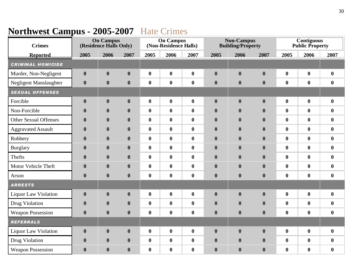## **Northwest Campus - 2005-2007** Hate Crimes

| <b>Crimes</b>                | <b>On Campus</b><br>(Residence Halls Only) |                  |                  |                  | <b>On Campus</b><br>(Non-Residence Halls) |                  |                  | <b>Non-Campus</b><br><b>Building/Property</b> |                  | <b>Contiguous</b><br><b>Public Property</b> |                  |                  |  |  |
|------------------------------|--------------------------------------------|------------------|------------------|------------------|-------------------------------------------|------------------|------------------|-----------------------------------------------|------------------|---------------------------------------------|------------------|------------------|--|--|
| <b>Reported</b>              | 2005                                       | 2006             | 2007             | 2005             | 2006                                      | 2007             | 2005             | 2006                                          | 2007             | 2005                                        | 2006             | 2007             |  |  |
| <b>CRIMINAL HOMICIDE</b>     |                                            |                  |                  |                  |                                           |                  |                  |                                               |                  |                                             |                  |                  |  |  |
| Murder, Non-Negligent        | $\boldsymbol{0}$                           | $\boldsymbol{0}$ | $\boldsymbol{0}$ | $\boldsymbol{0}$ | $\boldsymbol{0}$                          | $\boldsymbol{0}$ | $\boldsymbol{0}$ | $\boldsymbol{0}$                              | $\boldsymbol{0}$ | $\boldsymbol{0}$                            | $\boldsymbol{0}$ | $\boldsymbol{0}$ |  |  |
| Negligent Manslaughter       | $\boldsymbol{0}$                           | $\boldsymbol{0}$ | $\boldsymbol{0}$ | $\boldsymbol{0}$ | $\boldsymbol{0}$                          | $\boldsymbol{0}$ | $\boldsymbol{0}$ | $\boldsymbol{0}$                              | $\boldsymbol{0}$ | $\boldsymbol{0}$                            | $\boldsymbol{0}$ | $\boldsymbol{0}$ |  |  |
| <b>SEXUAL OFFENSES</b>       |                                            |                  |                  |                  |                                           |                  |                  |                                               |                  |                                             |                  |                  |  |  |
| Forcible                     | $\boldsymbol{0}$                           | $\boldsymbol{0}$ | $\boldsymbol{0}$ | $\boldsymbol{0}$ | $\boldsymbol{0}$                          | $\boldsymbol{0}$ | $\boldsymbol{0}$ | $\boldsymbol{0}$                              | $\boldsymbol{0}$ | $\boldsymbol{0}$                            | $\boldsymbol{0}$ | $\boldsymbol{0}$ |  |  |
| Non-Forcible                 | $\boldsymbol{0}$                           | $\boldsymbol{0}$ | $\boldsymbol{0}$ | $\boldsymbol{0}$ | $\boldsymbol{0}$                          | $\boldsymbol{0}$ | $\boldsymbol{0}$ | $\boldsymbol{0}$                              | $\boldsymbol{0}$ | $\boldsymbol{0}$                            | $\boldsymbol{0}$ | $\boldsymbol{0}$ |  |  |
| <b>Other Sexual Offenses</b> | $\boldsymbol{0}$                           | $\boldsymbol{0}$ | $\boldsymbol{0}$ | $\bf{0}$         | $\bf{0}$                                  | $\boldsymbol{0}$ | $\boldsymbol{0}$ | $\boldsymbol{0}$                              | $\boldsymbol{0}$ | $\boldsymbol{0}$                            | $\boldsymbol{0}$ | $\boldsymbol{0}$ |  |  |
| <b>Aggravated Assault</b>    | $\boldsymbol{0}$                           | $\boldsymbol{0}$ | $\boldsymbol{0}$ | $\boldsymbol{0}$ | $\boldsymbol{0}$                          | $\boldsymbol{0}$ | $\boldsymbol{0}$ | $\boldsymbol{0}$                              | $\boldsymbol{0}$ | $\bf{0}$                                    | $\bf{0}$         | $\boldsymbol{0}$ |  |  |
| Robbery                      | $\boldsymbol{0}$                           | $\boldsymbol{0}$ | $\boldsymbol{0}$ | $\bf{0}$         | $\bf{0}$                                  | $\bf{0}$         | $\boldsymbol{0}$ | $\boldsymbol{0}$                              | $\boldsymbol{0}$ | $\bf{0}$                                    | $\bf{0}$         | $\boldsymbol{0}$ |  |  |
| Burglary                     | $\boldsymbol{0}$                           | $\boldsymbol{0}$ | $\boldsymbol{0}$ | $\boldsymbol{0}$ | $\bf{0}$                                  | $\boldsymbol{0}$ | $\boldsymbol{0}$ | $\boldsymbol{0}$                              | $\boldsymbol{0}$ | $\bf{0}$                                    | $\boldsymbol{0}$ | $\boldsymbol{0}$ |  |  |
| Thefts                       | $\boldsymbol{0}$                           | $\boldsymbol{0}$ | $\boldsymbol{0}$ | $\boldsymbol{0}$ | $\bf{0}$                                  | $\boldsymbol{0}$ | $\boldsymbol{0}$ | $\boldsymbol{0}$                              | $\boldsymbol{0}$ | $\bf{0}$                                    | $\bf{0}$         | $\boldsymbol{0}$ |  |  |
| Motor Vehicle Theft          | $\boldsymbol{0}$                           | $\boldsymbol{0}$ | $\boldsymbol{0}$ | $\boldsymbol{0}$ | $\boldsymbol{0}$                          | $\boldsymbol{0}$ | $\boldsymbol{0}$ | $\boldsymbol{0}$                              | $\boldsymbol{0}$ | $\boldsymbol{0}$                            | $\boldsymbol{0}$ | $\boldsymbol{0}$ |  |  |
| Arson                        | $\boldsymbol{0}$                           | $\boldsymbol{0}$ | $\boldsymbol{0}$ | $\boldsymbol{0}$ | $\bf{0}$                                  | $\boldsymbol{0}$ | $\boldsymbol{0}$ | $\boldsymbol{0}$                              | $\boldsymbol{0}$ | $\bf{0}$                                    | $\boldsymbol{0}$ | $\boldsymbol{0}$ |  |  |
| <b>ARRESTS</b>               |                                            |                  |                  |                  |                                           |                  |                  |                                               |                  |                                             |                  |                  |  |  |
| Liquor Law Violation         | $\boldsymbol{0}$                           | $\boldsymbol{0}$ | $\boldsymbol{0}$ | $\boldsymbol{0}$ | $\boldsymbol{0}$                          | $\boldsymbol{0}$ | $\boldsymbol{0}$ | $\boldsymbol{0}$                              | $\boldsymbol{0}$ | $\boldsymbol{0}$                            | $\boldsymbol{0}$ | $\boldsymbol{0}$ |  |  |
| Drug Violation               | $\boldsymbol{0}$                           | $\boldsymbol{0}$ | $\boldsymbol{0}$ | $\boldsymbol{0}$ | $\boldsymbol{0}$                          | $\boldsymbol{0}$ | $\boldsymbol{0}$ | $\boldsymbol{0}$                              | $\boldsymbol{0}$ | $\boldsymbol{0}$                            | $\boldsymbol{0}$ | $\boldsymbol{0}$ |  |  |
| <b>Weapon Possession</b>     | $\boldsymbol{0}$                           | $\boldsymbol{0}$ | $\boldsymbol{0}$ | $\boldsymbol{0}$ | $\bf{0}$                                  | $\boldsymbol{0}$ | $\boldsymbol{0}$ | $\boldsymbol{0}$                              | $\boldsymbol{0}$ | $\bf{0}$                                    | $\boldsymbol{0}$ | $\boldsymbol{0}$ |  |  |
| <b>REFERRALS</b>             |                                            |                  |                  |                  |                                           |                  |                  |                                               |                  |                                             |                  |                  |  |  |
| <b>Liquor Law Violation</b>  | $\boldsymbol{0}$                           | $\boldsymbol{0}$ | $\boldsymbol{0}$ | $\boldsymbol{0}$ | $\boldsymbol{0}$                          | $\boldsymbol{0}$ | $\boldsymbol{0}$ | $\boldsymbol{0}$                              | $\boldsymbol{0}$ | $\boldsymbol{0}$                            | $\bf{0}$         | $\boldsymbol{0}$ |  |  |
| Drug Violation               | $\boldsymbol{0}$                           | $\boldsymbol{0}$ | $\boldsymbol{0}$ | $\boldsymbol{0}$ | $\bf{0}$                                  | $\boldsymbol{0}$ | $\boldsymbol{0}$ | $\boldsymbol{0}$                              | $\boldsymbol{0}$ | $\boldsymbol{0}$                            | $\boldsymbol{0}$ | $\boldsymbol{0}$ |  |  |
| <b>Weapon Possession</b>     | $\boldsymbol{0}$                           | $\boldsymbol{0}$ | $\boldsymbol{0}$ | $\bf{0}$         | $\boldsymbol{0}$                          | $\bf{0}$         | $\boldsymbol{0}$ | $\boldsymbol{0}$                              | $\boldsymbol{0}$ | $\boldsymbol{0}$                            | $\boldsymbol{0}$ | $\boldsymbol{0}$ |  |  |